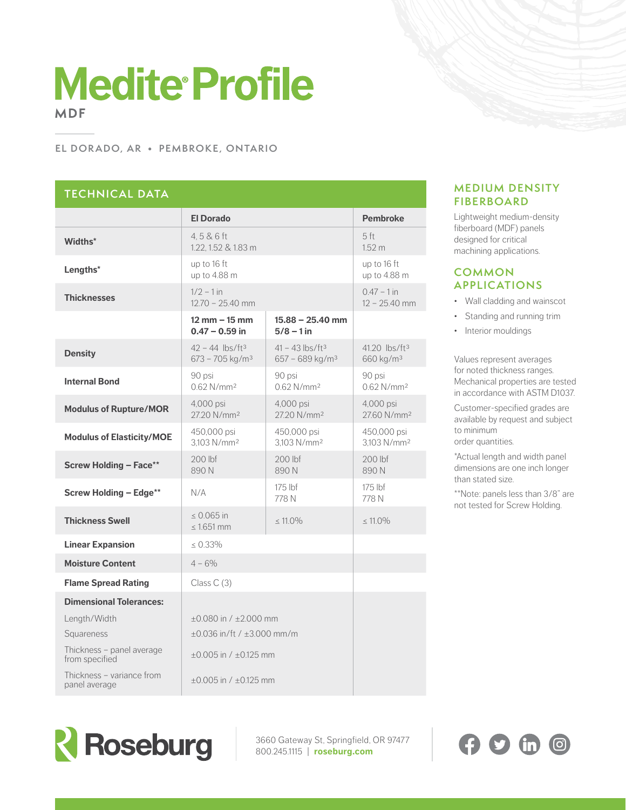# **Medite Profile MDF**

#### **EL DOR ADO, AR • PEMBROKE, ONTARIO**

## **TECHNICAL DATA**

|                                             | <b>El Dorado</b>                                                  |                                                              | <b>Pembroke</b>                                    |
|---------------------------------------------|-------------------------------------------------------------------|--------------------------------------------------------------|----------------------------------------------------|
| Widths*                                     | 4.5 & 6 ft<br>1.22, 1.52 & 1.83 m                                 |                                                              | 5 <sup>ft</sup><br>1.52 m                          |
| Lengths*                                    | up to 16 ft<br>up to 4.88 m                                       |                                                              | up to 16 ft<br>up to 4.88 m                        |
| <b>Thicknesses</b>                          | $1/2 - 1$ in<br>$12.70 - 25.40$ mm                                |                                                              | $0.47 - 1$ in<br>$12 - 25.40$ mm                   |
|                                             | $12 \, \text{mm} - 15 \, \text{mm}$<br>$0.47 - 0.59$ in           | $15.88 - 25.40$ mm<br>$5/8 - 1$ in                           |                                                    |
| <b>Density</b>                              | $42 - 44$ lbs/ft <sup>3</sup><br>$673 - 705$ kg/m <sup>3</sup>    | $41 - 43$ lbs/ft <sup>3</sup><br>657 - 689 kg/m <sup>3</sup> | 41.20 lbs/ft <sup>3</sup><br>660 kg/m <sup>3</sup> |
| <b>Internal Bond</b>                        | 90 psi<br>$0.62$ N/mm <sup>2</sup>                                | 90 psi<br>0.62 N/mm <sup>2</sup>                             | 90 psi<br>$0.62$ N/mm <sup>2</sup>                 |
| <b>Modulus of Rupture/MOR</b>               | 4,000 psi<br>27.20 N/mm <sup>2</sup>                              | 4,000 psi<br>27.20 N/mm <sup>2</sup>                         | 4,000 psi<br>27.60 N/mm <sup>2</sup>               |
| <b>Modulus of Elasticity/MOE</b>            | 450,000 psi<br>3.103 N/mm <sup>2</sup>                            | 450,000 psi<br>3.103 N/mm <sup>2</sup>                       | 450,000 psi<br>3.103 N/mm <sup>2</sup>             |
| <b>Screw Holding - Face**</b>               | $200$ lbf<br>890N                                                 | $200$ lbf<br>890N                                            | $200$ lbf<br>890N                                  |
| <b>Screw Holding - Edge**</b>               | N/A                                                               | $175$ lbf<br>778 N                                           | $175$ lbf<br>778 N                                 |
| <b>Thickness Swell</b>                      | $0.065$ in<br>$< 1.651$ mm                                        | $< 11.0\%$                                                   | $< 11.0\%$                                         |
| <b>Linear Expansion</b>                     | $< 0.33\%$                                                        |                                                              |                                                    |
| <b>Moisture Content</b>                     | $4 - 6\%$                                                         |                                                              |                                                    |
| <b>Flame Spread Rating</b>                  | Class $C(3)$                                                      |                                                              |                                                    |
| <b>Dimensional Tolerances:</b>              |                                                                   |                                                              |                                                    |
| Length/Width<br>Squareness                  | $+0.080$ in $/ +2.000$ mm<br>$\pm 0.036$ in/ft / $\pm 3.000$ mm/m |                                                              |                                                    |
| Thickness - panel average<br>from specified | $\pm 0.005$ in / $\pm 0.125$ mm                                   |                                                              |                                                    |
| Thickness - variance from<br>panel average  | $\pm 0.005$ in / $\pm 0.125$ mm                                   |                                                              |                                                    |

### **MEDIUM DENSITY FIBERBOARD**

Lightweight medium-density fiberboard (MDF) panels designed for critical machining applications.

#### **COMMON APPLICATIONS**

- Wall cladding and wainscot
- Standing and running trim
- Interior mouldings

Values represent averages for noted thickness ranges. Mechanical properties are tested in accordance with ASTM D1037.

Customer-specified grades are available by request and subject to minimum order quantities.

\*Actual length and width panel dimensions are one inch longer than stated size.

\*\*Note: panels less than 3/8" are not tested for Screw Holding.



3660 Gateway St, Springfield, OR 97477 800.245.1115 | **roseburg.com**